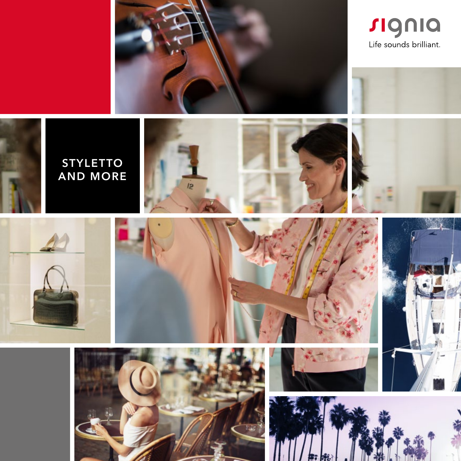



















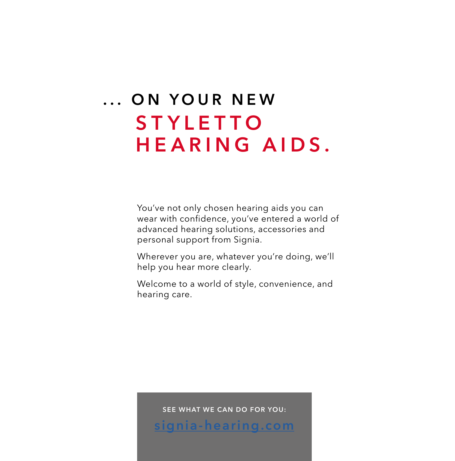#### ... ON YOUR NEW **STYLETTO HEARING AIDS.**

You've not only chosen hearing aids you can wear with confidence, you've entered a world of advanced hearing solutions, accessories and personal support from Signia.

Wherever you are, whatever you're doing, we'll help you hear more clearly.

Welcome to a world of style, convenience, and hearing care.

SEE WHAT WE CAN DO FOR YOU:

[signia-hearing.com](http://signia-hearing.com)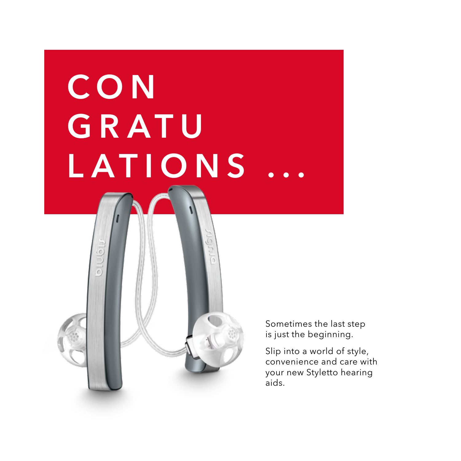# **CON** GRATU LATIONS

Sometimes the last step is just the beginning.

> Slip into a world of style, convenience and care with your new Styletto hearing aids.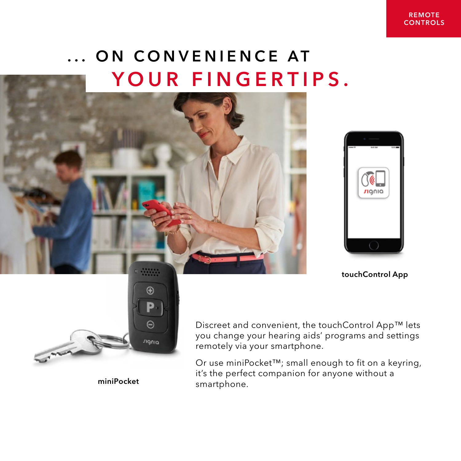### ... ON CONVENIENCE AT YOUR FINGERTIPS.





touchControl App



miniPocket

Discreet and convenient, the touchControl App™ lets you change your hearing aids' programs and settings remotely via your smartphone.

Or use miniPocket™; small enough to fit on a keyring, it's the perfect companion for anyone without a smartphone.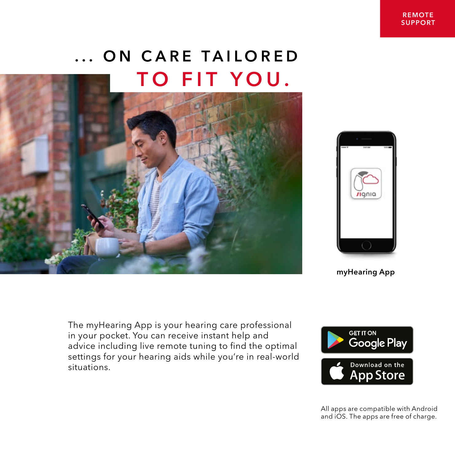## ... ON CARE TAILORED TO FIT YOU.





myHearing App

The myHearing App is your hearing care professional in your pocket. You can receive instant help and advice including live remote tuning to find the optimal settings for your hearing aids while you're in real-world situations.



All apps are compatible with Android and iOS. The apps are free of charge.